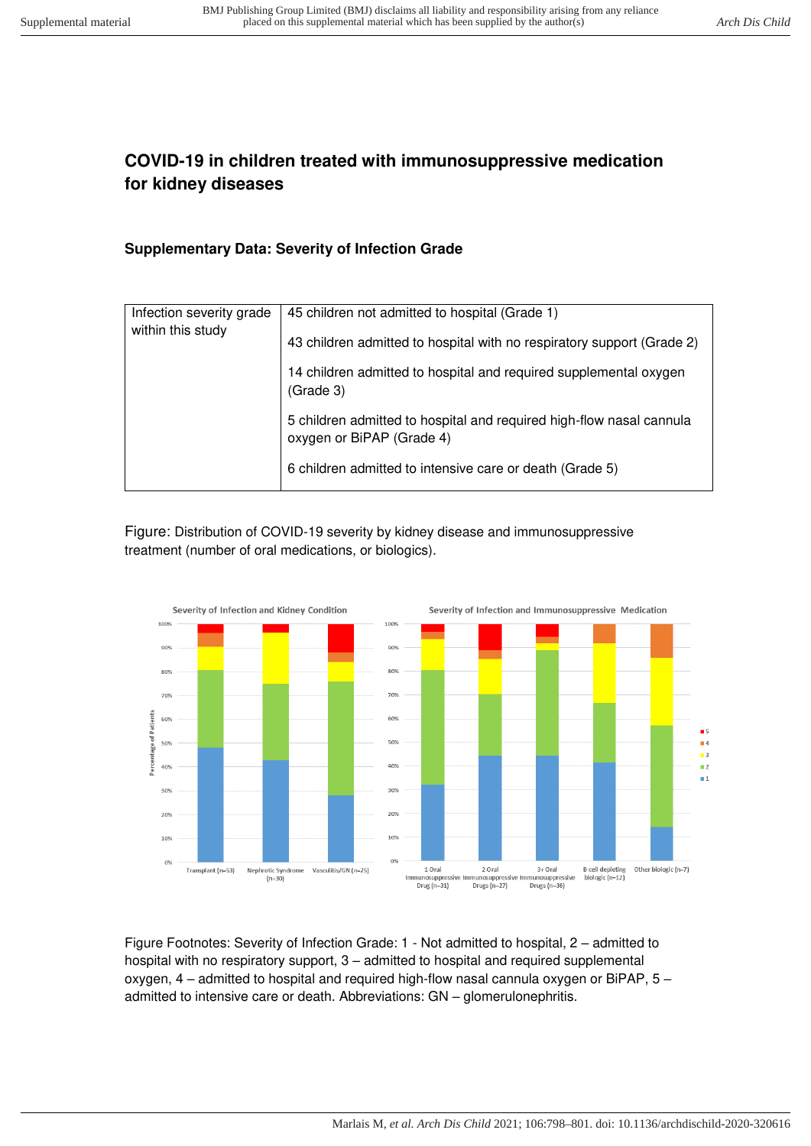## **COVID-19 in children treated with immunosuppressive medication for kidney diseases**

## **Supplementary Data: Severity of Infection Grade**

| Infection severity grade<br>within this study | 45 children not admitted to hospital (Grade 1)                                                    |
|-----------------------------------------------|---------------------------------------------------------------------------------------------------|
|                                               | 43 children admitted to hospital with no respiratory support (Grade 2)                            |
|                                               | 14 children admitted to hospital and required supplemental oxygen<br>(Grade 3)                    |
|                                               | 5 children admitted to hospital and required high-flow nasal cannula<br>oxygen or BiPAP (Grade 4) |
|                                               | 6 children admitted to intensive care or death (Grade 5)                                          |

Figure: Distribution of COVID-19 severity by kidney disease and immunosuppressive treatment (number of oral medications, or biologics).



Figure Footnotes: Severity of Infection Grade: 1 - Not admitted to hospital, 2 – admitted to hospital with no respiratory support, 3 – admitted to hospital and required supplemental oxygen, 4 – admitted to hospital and required high-flow nasal cannula oxygen or BiPAP, 5 – admitted to intensive care or death. Abbreviations: GN – glomerulonephritis.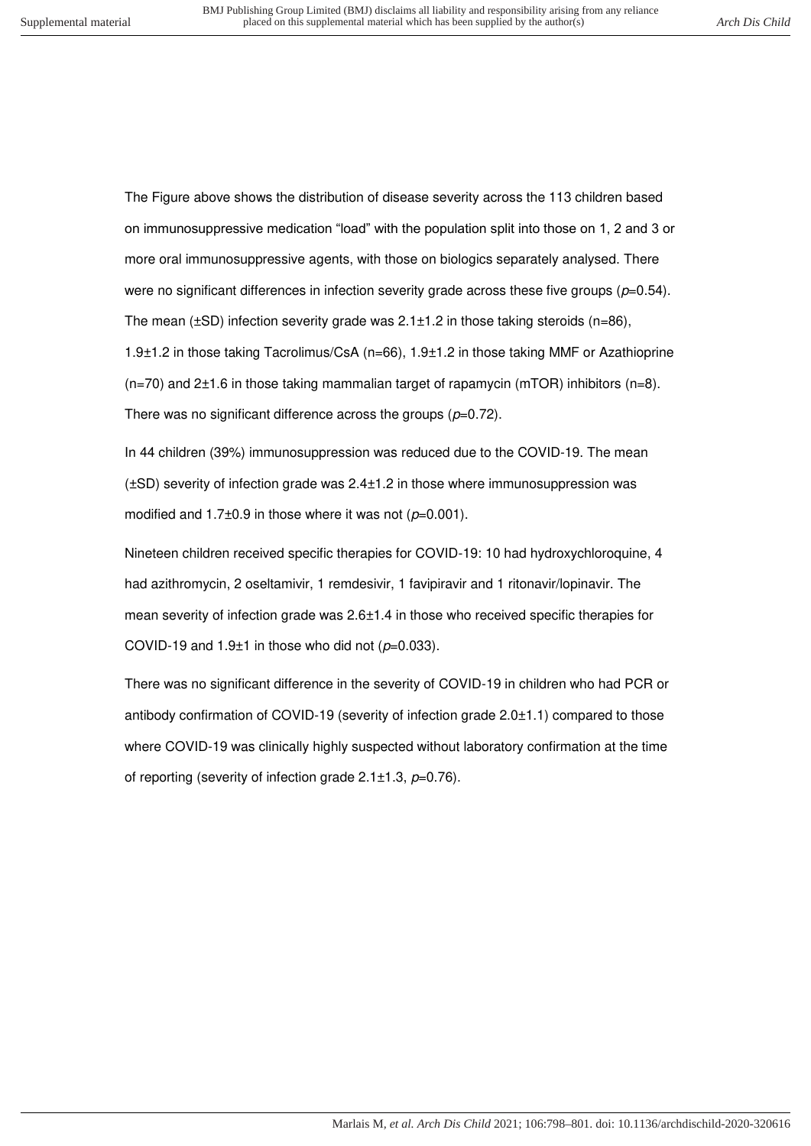The Figure above shows the distribution of disease severity across the 113 children based on immunosuppressive medication "load" with the population split into those on 1, 2 and 3 or more oral immunosuppressive agents, with those on biologics separately analysed. There were no significant differences in infection severity grade across these five groups ( $p=0.54$ ). The mean ( $\pm$ SD) infection severity grade was 2.1 $\pm$ 1.2 in those taking steroids (n=86), 1.9±1.2 in those taking Tacrolimus/CsA (n=66), 1.9±1.2 in those taking MMF or Azathioprine  $(n=70)$  and 2 $\pm$ 1.6 in those taking mammalian target of rapamycin (mTOR) inhibitors (n=8). There was no significant difference across the groups  $(p=0.72)$ .

In 44 children (39%) immunosuppression was reduced due to the COVID-19. The mean (±SD) severity of infection grade was 2.4±1.2 in those where immunosuppression was modified and  $1.7\pm0.9$  in those where it was not ( $p=0.001$ ).

Nineteen children received specific therapies for COVID-19: 10 had hydroxychloroquine, 4 had azithromycin, 2 oseltamivir, 1 remdesivir, 1 favipiravir and 1 ritonavir/lopinavir. The mean severity of infection grade was 2.6±1.4 in those who received specific therapies for COVID-19 and 1.9 $\pm$ 1 in those who did not ( $p=0.033$ ).

There was no significant difference in the severity of COVID-19 in children who had PCR or antibody confirmation of COVID-19 (severity of infection grade 2.0±1.1) compared to those where COVID-19 was clinically highly suspected without laboratory confirmation at the time of reporting (severity of infection grade  $2.1 \pm 1.3$ ,  $p=0.76$ ).